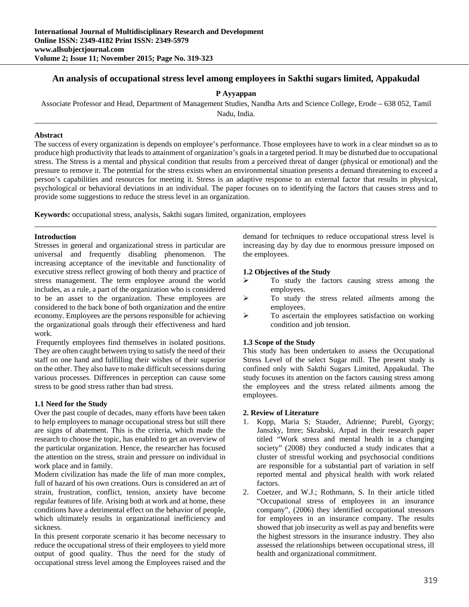# **An analysis of occupational stress level among employees in Sakthi sugars limited, Appakudal**

**P Ayyappan** 

Associate Professor and Head, Department of Management Studies, Nandha Arts and Science College, Erode – 638 052, Tamil

Nadu, India.

## **Abstract**

The success of every organization is depends on employee's performance. Those employees have to work in a clear mindset so as to produce high productivity that leads to attainment of organization's goals in a targeted period. It may be disturbed due to occupational stress. The Stress is a mental and physical condition that results from a perceived threat of danger (physical or emotional) and the pressure to remove it. The potential for the stress exists when an environmental situation presents a demand threatening to exceed a person's capabilities and resources for meeting it. Stress is an adaptive response to an external factor that results in physical, psychological or behavioral deviations in an individual. The paper focuses on to identifying the factors that causes stress and to provide some suggestions to reduce the stress level in an organization.

**Keywords:** occupational stress, analysis, Sakthi sugars limited, organization, employees

#### **Introduction**

Stresses in general and organizational stress in particular are universal and frequently disabling phenomenon. The increasing acceptance of the inevitable and functionality of executive stress reflect growing of both theory and practice of stress management. The term employee around the world includes, as a rule, a part of the organization who is considered to be an asset to the organization. These employees are considered to the back bone of both organization and the entire economy. Employees are the persons responsible for achieving the organizational goals through their effectiveness and hard work.

 Frequently employees find themselves in isolated positions. They are often caught between trying to satisfy the need of their staff on one hand and fulfilling their wishes of their superior on the other. They also have to make difficult secessions during various processes. Differences in perception can cause some stress to be good stress rather than bad stress.

#### **1.1 Need for the Study**

Over the past couple of decades, many efforts have been taken to help employees to manage occupational stress but still there are signs of abatement. This is the criteria, which made the research to choose the topic, has enabled to get an overview of the particular organization. Hence, the researcher has focused the attention on the stress, strain and pressure on individual in work place and in family.

Modern civilization has made the life of man more complex, full of hazard of his own creations. Ours is considered an art of strain, frustration, conflict, tension, anxiety have become regular features of life. Arising both at work and at home, these conditions have a detrimental effect on the behavior of people, which ultimately results in organizational inefficiency and sickness.

In this present corporate scenario it has become necessary to reduce the occupational stress of their employees to yield more output of good quality. Thus the need for the study of occupational stress level among the Employees raised and the

demand for techniques to reduce occupational stress level is increasing day by day due to enormous pressure imposed on the employees.

#### **1.2 Objectives of the Study**

- $\triangleright$  To study the factors causing stress among the employees.
- $\triangleright$  To study the stress related ailments among the employees.
- To ascertain the employees satisfaction on working condition and job tension.

## **1.3 Scope of the Study**

This study has been undertaken to assess the Occupational Stress Level of the select Sugar mill. The present study is confined only with Sakthi Sugars Limited, Appakudal. The study focuses its attention on the factors causing stress among the employees and the stress related ailments among the employees.

## **2. Review of Literature**

- 1. Kopp, Maria S; Stauder, Adrienne; Purebl, Gyorgy; Janszky, Imre; Skrabski, Arpad in their research paper titled "Work stress and mental health in a changing society" (2008) they conducted a study indicates that a cluster of stressful working and psychosocial conditions are responsible for a substantial part of variation in self reported mental and physical health with work related factors.
- 2. Coetzer, and W.J.; Rothmann, S. In their article titled "Occupational stress of employees in an insurance company", (2006) they identified occupational stressors for employees in an insurance company. The results showed that job insecurity as well as pay and benefits were the highest stressors in the insurance industry. They also assessed the relationships between occupational stress, ill health and organizational commitment.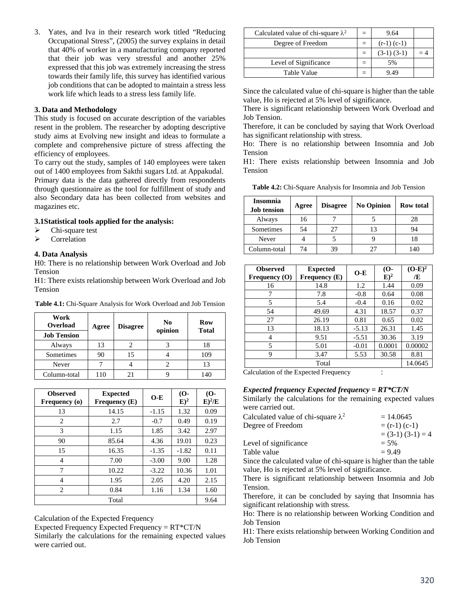3. Yates, and Iva in their research work titled "Reducing Occupational Stress", (2005) the survey explains in detail that 40% of worker in a manufacturing company reported that their job was very stressful and another 25% expressed that this job was extremely increasing the stress towards their family life, this survey has identified various job conditions that can be adopted to maintain a stress less work life which leads to a stress less family life.

## **3. Data and Methodology**

This study is focused on accurate description of the variables resent in the problem. The researcher by adopting descriptive study aims at Evolving new insight and ideas to formulate a complete and comprehensive picture of stress affecting the efficiency of employees.

To carry out the study, samples of 140 employees were taken out of 1400 employees from Sakthi sugars Ltd. at Appakudal. Primary data is the data gathered directly from respondents through questionnaire as the tool for fulfillment of study and also Secondary data has been collected from websites and magazines etc.

## **3.1Statistical tools applied for the analysis:**

- $\triangleright$  Chi-square test
- Correlation

## **4. Data Analysis**

H0: There is no relationship between Work Overload and Job Tension

H1: There exists relationship between Work Overload and Job Tension

**Table 4.1:** Chi-Square Analysis for Work Overload and Job Tension

| Work<br>Overload<br><b>Job Tension</b> | Agree | <b>Disagree</b> | No<br>opinion | Row<br><b>Total</b> |
|----------------------------------------|-------|-----------------|---------------|---------------------|
| Always                                 | 13    |                 |               | 18                  |
| Sometimes                              | 90    | 15              |               | 109                 |
| Never                                  |       |                 |               | 13                  |
| Column-total                           | 110   | 21              |               | 140                 |

| <b>Observed</b><br>Frequency (o) | <b>Expected</b><br><b>Frequency</b> (E) | $O-E$   | $(O-)$<br>$E)^2$ | (O <sub>1</sub> )<br>$E)^2/E$ |  |  |  |  |  |
|----------------------------------|-----------------------------------------|---------|------------------|-------------------------------|--|--|--|--|--|
| 13                               | 14.15                                   | $-1.15$ | 1.32             | 0.09                          |  |  |  |  |  |
| $\overline{c}$                   | 2.7                                     | $-0.7$  | 0.49             | 0.19                          |  |  |  |  |  |
| 3                                | 1.15                                    | 1.85    | 3.42             | 2.97                          |  |  |  |  |  |
| 90                               | 85.64                                   | 4.36    | 19.01            | 0.23                          |  |  |  |  |  |
| 15                               | 16.35                                   | $-1.35$ | $-1.82$          | 0.11                          |  |  |  |  |  |
| 4                                | 7.00                                    | $-3.00$ | 9.00             | 1.28                          |  |  |  |  |  |
| 7                                | 10.22                                   | $-3.22$ | 10.36            | 1.01                          |  |  |  |  |  |
| 4                                | 1.95                                    | 2.05    | 4.20             | 2.15                          |  |  |  |  |  |
| $\overline{c}$                   | 0.84                                    | 1.16    | 1.34             | 1.60                          |  |  |  |  |  |
| Total                            |                                         |         |                  |                               |  |  |  |  |  |

Calculation of the Expected Frequency

Expected Frequency Expected Frequency = RT\*CT/N

Similarly the calculations for the remaining expected values were carried out.

| Calculated value of chi-square $\lambda^2$ | $=$ | 9.64            |  |
|--------------------------------------------|-----|-----------------|--|
| Degree of Freedom                          | $=$ | $(r-1)$ $(c-1)$ |  |
|                                            | $=$ | $(3-1)$ $(3-1)$ |  |
| Level of Significance                      |     | 5%              |  |
| Table Value                                |     | 949             |  |

Since the calculated value of chi-square is higher than the table value, Ho is rejected at 5% level of significance.

There is significant relationship between Work Overload and Job Tension.

Therefore, it can be concluded by saying that Work Overload has significant relationship with stress.

Ho: There is no relationship between Insomnia and Job Tension

H1: There exists relationship between Insomnia and Job Tension

**Table 4.2:** Chi-Square Analysis for Insomnia and Job Tension

| <b>Insomnia</b><br><b>Job tension</b> | Agree | <b>Disagree</b> | <b>No Opinion</b> | <b>Row</b> total |
|---------------------------------------|-------|-----------------|-------------------|------------------|
| Always                                | 16    |                 |                   | 28               |
| Sometimes                             | 54    |                 | 13                | 94               |
| Never                                 |       |                 |                   | 18               |
| Column-total                          | 74    |                 | 27                | 140              |

| <b>Observed</b><br>Frequency $(O)$ | <b>Expected</b><br><b>Frequency</b> (E) | $O-E$   | $(O-)$<br>$E)^2$ | $(O-E)^2$<br>Æ |
|------------------------------------|-----------------------------------------|---------|------------------|----------------|
| 16                                 | 14.8                                    | 1.2     | 1.44             | 0.09           |
| 7                                  | 7.8                                     | $-0.8$  | 0.64             | 0.08           |
| 5                                  | 5.4                                     | $-0.4$  | 0.16             | 0.02           |
| 54                                 | 49.69                                   | 4.31    | 18.57            | 0.37           |
| 27                                 | 26.19                                   | 0.81    | 0.65             | 0.02           |
| 13                                 | 18.13                                   | $-5.13$ | 26.31            | 1.45           |
| 4                                  | 9.51                                    | $-5.51$ | 30.36            | 3.19           |
| 5                                  | 5.01                                    | $-0.01$ | 0.0001           | 0.00002        |
| 9                                  | 3.47                                    | 5.53    | 30.58            | 8.81           |
|                                    | 14.0645                                 |         |                  |                |

Calculation of the Expected Frequency :

## *Expected frequency Expected frequency = RT\*CT/N*

Similarly the calculations for the remaining expected values were carried out.

| Calculated value of chi-square $\lambda^2$ | $= 14.0645$      |  |  |  |
|--------------------------------------------|------------------|--|--|--|
| Degree of Freedom                          | $=$ (r-1) (c-1)  |  |  |  |
|                                            | $(3-1)(3-1) = 4$ |  |  |  |
| Level of significance                      | $= 5\%$          |  |  |  |
| Table value                                | $= 9.49$         |  |  |  |
| $\alpha$ 1 1 1 1 1                         | $\cdots$         |  |  |  |

Since the calculated value of chi-square is higher than the table value, Ho is rejected at 5% level of significance.

There is significant relationship between Insomnia and Job Tension.

Therefore, it can be concluded by saying that Insomnia has significant relationship with stress.

Ho: There is no relationship between Working Condition and Job Tension

H1: There exists relationship between Working Condition and Job Tension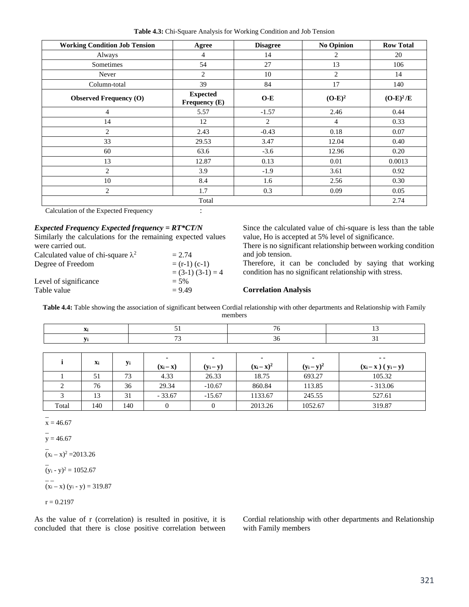**Table 4.3:** Chi-Square Analysis for Working Condition and Job Tension

| <b>Working Condition Job Tension</b> | Agree                            | <b>Disagree</b> | No Opinion | <b>Row Total</b> |  |  |  |  |
|--------------------------------------|----------------------------------|-----------------|------------|------------------|--|--|--|--|
| Always                               | 4                                | 14              | 2          | 20               |  |  |  |  |
| Sometimes                            | 54                               | 27              | 13         | 106              |  |  |  |  |
| Never                                | 2                                | 10              | 2          | 14               |  |  |  |  |
| Column-total                         | 39                               | 84              | 17         | 140              |  |  |  |  |
| <b>Observed Frequency (O)</b>        | <b>Expected</b><br>Frequency (E) | $O-E$           | $(O-E)^2$  | $(O-E)^2/E$      |  |  |  |  |
| $\overline{4}$                       | 5.57                             | $-1.57$         | 2.46       | 0.44             |  |  |  |  |
| 14                                   | 12                               | 2               | 4          | 0.33             |  |  |  |  |
| 2                                    | 2.43                             | $-0.43$<br>0.18 |            | 0.07             |  |  |  |  |
| 33                                   | 29.53                            | 3.47            | 12.04      | 0.40             |  |  |  |  |
| 60                                   | 63.6                             | $-3.6$          | 12.96      | 0.20             |  |  |  |  |
| 13                                   | 12.87                            | 0.13            | 0.01       | 0.0013           |  |  |  |  |
| $\overline{2}$                       | 3.9                              | $-1.9$          | 3.61       | 0.92             |  |  |  |  |
| 10                                   | 8.4                              | 1.6             | 2.56       | 0.30             |  |  |  |  |
| $\overline{c}$                       | 1.7                              | 0.3             | 0.09       | 0.05             |  |  |  |  |
| Total                                |                                  |                 |            |                  |  |  |  |  |

Calculation of the Expected Frequency :

#### *Expected Frequency Expected frequency = RT\*CT/N*

Similarly the calculations for the remaining expected values were carried out.

| Calculated value of chi-square $\lambda^2$ | $= 2.74$         |
|--------------------------------------------|------------------|
| Degree of Freedom                          | $=$ (r-1) (c-1)  |
|                                            | $(3-1)(3-1) = 4$ |
| Level of significance                      | $= 5\%$          |
| Table value                                | $= 9.49$         |

Since the calculated value of chi-square is less than the table value, Ho is accepted at 5% level of significance.

There is no significant relationship between working condition and job tension.

Therefore, it can be concluded by saying that working condition has no significant relationship with stress.

#### **Correlation Analysis**

**Table 4.4:** Table showing the association of significant between Cordial relationship with other departments and Relationship with Family members

|       | Xi  |     | 51<br>76         |             |               | 13            |                       |  |
|-------|-----|-----|------------------|-------------|---------------|---------------|-----------------------|--|
|       | Уi  |     | 73               |             | 36            |               | 31                    |  |
|       |     |     |                  |             |               |               |                       |  |
|       | Xi  |     |                  | ٠           |               |               | $\sim$ $\sim$         |  |
|       |     | Уi  | $(x_i - x)$      | $(y_i - y)$ | $(x_i - x)^2$ | $(y_i - y)^2$ | $(x_i - x) (y_i - y)$ |  |
|       | 51  | 73  | 4.33             | 26.33       | 18.75         | 693.27        | 105.32                |  |
|       | 76  | 36  | 29.34            | $-10.67$    | 860.84        | 113.85        | $-313.06$             |  |
|       | 13  | 31  | $-33.67$         | $-15.67$    | 1133.67       | 245.55        | 527.61                |  |
| Total | 140 | 140 | $\boldsymbol{0}$ |             | 2013.26       | 1052.67       | 319.87                |  |

 $\overline{a}$  $x = 46.67$ 

 $\overline{a}$  $y = 46.67$ 

 $\overline{a}$  $(x_i - x)^2 = 2013.26$ 

 $\overline{a}$  $(y_i - y)^2 = 1052.67$ 

 $=$  $(x_i - x) (y_i - y) = 319.87$ 

$$
r=0.2197
$$

As the value of r (correlation) is resulted in positive, it is concluded that there is close positive correlation between Cordial relationship with other departments and Relationship with Family members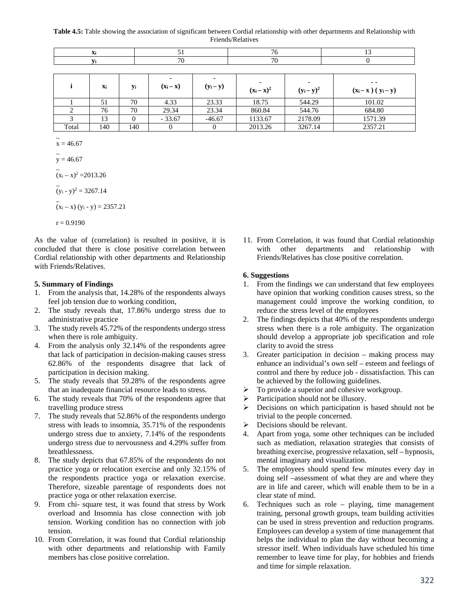**Table 4.5:** Table showing the association of significant between Cordial relationship with other departments and Relationship with Friends/Relatives

|       | Xi  |     | 51          |             | 76            |               | 13                                     |
|-------|-----|-----|-------------|-------------|---------------|---------------|----------------------------------------|
|       | Vi  |     | 70<br>70    |             |               |               |                                        |
|       |     |     |             |             |               |               |                                        |
|       | Xi  | yi  | $(x_i - x)$ | $(y_i - y)$ | $(x_i - x)^2$ | $(y_i - y)^2$ | $\sim$ $\sim$<br>$(x_i - x) (y_i - y)$ |
|       | 51  | 70  | 4.33        | 23.33       | 18.75         | 544.29        | 101.02                                 |
|       | 76  | 70  | 29.34       | 23.34       | 860.84        | 544.76        | 684.80                                 |
|       | 13  |     | $-33.67$    | $-46.67$    | 1133.67       | 2178.09       | 1571.39                                |
| Total | 140 | 140 | $\theta$    |             | 2013.26       | 3267.14       | 2357.21                                |

 $\overline{a}$  $x = 46.67$  $\overline{a}$  $y = 46.67$  $\overline{a}$  $(x_i - x)^2 = 2013.26$  $\overline{a}$  $(y_i - y)^2 = 3267.14$  $\overline{a}$  $(x_i - x) (y_i - y) = 2357.21$  $r = 0.9190$ 

As the value of (correlation) is resulted in positive, it is concluded that there is close positive correlation between Cordial relationship with other departments and Relationship with Friends/Relatives.

## **5. Summary of Findings**

- 1. From the analysis that, 14.28% of the respondents always feel job tension due to working condition,
- 2. The study reveals that, 17.86% undergo stress due to administrative practice
- 3. The study revels 45.72% of the respondents undergo stress when there is role ambiguity.
- 4. From the analysis only 32.14% of the respondents agree that lack of participation in decision-making causes stress 62.86% of the respondents disagree that lack of participation in decision making.
- 5. The study reveals that 59.28% of the respondents agree that an inadequate financial resource leads to stress.
- 6. The study reveals that 70% of the respondents agree that travelling produce stress
- 7. The study reveals that 52.86% of the respondents undergo stress with leads to insomnia, 35.71% of the respondents undergo stress due to anxiety, 7.14% of the respondents undergo stress due to nervousness and 4.29% suffer from breathlessness.
- 8. The study depicts that 67.85% of the respondents do not practice yoga or relocation exercise and only 32.15% of the respondents practice yoga or relaxation exercise. Therefore, sizeable parentage of respondents does not practice yoga or other relaxation exercise.
- 9. From chi- square test, it was found that stress by Work overload and Insomnia has close connection with job tension. Working condition has no connection with job tension.
- 10. From Correlation, it was found that Cordial relationship with other departments and relationship with Family members has close positive correlation.

11. From Correlation, it was found that Cordial relationship with other departments and relationship with Friends/Relatives has close positive correlation.

#### **6. Suggestions**

- 1. From the findings we can understand that few employees have opinion that working condition causes stress, so the management could improve the working condition, to reduce the stress level of the employees
- The findings depicts that 40% of the respondents undergo stress when there is a role ambiguity. The organization should develop a appropriate job specification and role clarity to avoid the stress
- 3. Greater participation in decision making process may enhance an individual's own self – esteem and feelings of control and there by reduce job - dissatisfaction. This can be achieved by the following guidelines.
- $\triangleright$  To provide a superior and cohesive workgroup.
- $\triangleright$  Participation should not be illusory.
- **Decisions on which participation is based should not be** trivial to the people concerned.
- $\triangleright$  Decisions should be relevant.
- 4. Apart from yoga, some other techniques can be included such as mediation, relaxation strategies that consists of breathing exercise, progressive relaxation, self – hypnosis, mental imaginary and visualization.
- 5. The employees should spend few minutes every day in doing self –assessment of what they are and where they are in life and career, which will enable them to be in a clear state of mind.
- 6. Techniques such as role playing, time management training, personal growth groups, team building activities can be used in stress prevention and reduction programs. Employees can develop a system of time management that helps the individual to plan the day without becoming a stressor itself. When individuals have scheduled his time remember to leave time for play, for hobbies and friends and time for simple relaxation.